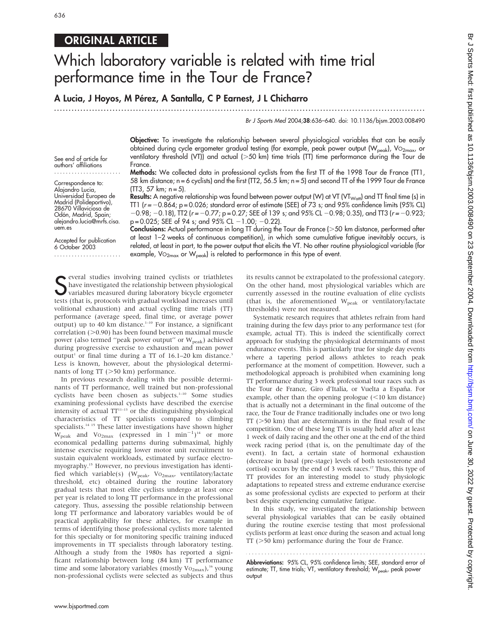# ORIGINAL ARTICLE

# Which laboratory variable is related with time trial performance time in the Tour de France?

## A Lucia, J Hoyos, M Pérez, A Santalla, C P Earnest, J L Chicharro

...............................................................................................................................

Br J Sports Med 2004;38:636–640. doi: 10.1136/bjsm.2003.008490

Objective: To investigate the relationship between several physiological variables that can be easily obtained during cycle ergometer gradual testing (for example, peak power output (W<sub>peak</sub>), VO<sub>2max</sub>, or ventilatory threshold (VT)) and actual  $(>50 \text{ km})$  time trials (TT) time performance during the Tour de France.

Methods: We collected data in professional cyclists from the first TT of the 1998 Tour de France (TT1, 58 km distance; n = 6 cyclists) and the first (TT2, 56.5 km; n = 5) and second TT of the 1999 Tour de France  $(TT3, 57 km; n=5)$ .

Results: A negative relationship was found between power output (W) at VT (VT<sub>Watt</sub>) and TT final time (s) in TT1 ( $r = -0.864$ ;  $p = 0.026$ ; standard error of estimate (SEE) of 73 s; and 95% confidence limits (95% CL)  $-0.98$ ;  $-0.18$ ), TT2 (r =  $-0.77$ ; p = 0.27; SEE of 139 s; and 95% CL  $-0.98$ ; 0.35), and TT3 (r =  $-0.923$ ;  $p = 0.025$ ; SEE of 94 s; and 95% CL  $-1.00$ ;  $-0.22$ ).

Accepted for publication 6 October 2003

uem.es

See end of article for authors' affiliations ....................... Correspondence to: Alajandro Lucia, Universidad Europea de Madrid (Polideportivo), 28670 Villaviciosa de Odón, Madrid, Spain; alejandro.lucia@mrfs.cisa.

Conclusions: Actual performance in long TT during the Tour de France (>50 km distance, performed after at least 1–2 weeks of continuous competition), in which some cumulative fatigue inevitably occurs, is related, at least in part, to the power output that elicits the VT. No other routine physiological variable (for example,  $\mathrm{Vo}_{2\text{max}}$  or  $\mathrm{W}_{\text{peak}}$ ) is related to performance in this type of event.

Several studies involving trained cyclists or triathletes<br>
Shave investigated the relationship between physiological<br>
variables measured during laboratory bicycle ergometer<br>
tests (that is, protecels with gradual workload have investigated the relationship between physiological variables measured during laboratory bicycle ergometer tests (that is, protocols with gradual workload increases until volitional exhaustion) and actual cycling time trials (TT) performance (average speed, final time, or average power output) up to 40 km distance.<sup>1-10</sup> For instance, a significant correlation  $(>0.90)$  has been found between maximal muscle power (also termed "peak power output" or  $W_{peak}$ ) achieved during progressive exercise to exhaustion and mean power output<sup>1</sup> or final time during a TT of  $16.1-20$  km distance.<sup>3</sup> Less is known, however, about the physiological determinants of long TT  $(>50 \text{ km})$  performance.

In previous research dealing with the possible determinants of TT performance, well trained but non-professional cyclists have been chosen as subjects.<sup>1-10</sup> Some studies examining professional cyclists have described the exercise intensity of actual  $TT^{11-13}$  or the distinguishing physiological characteristics of TT specialists compared to climbing specialists.<sup>14 15</sup> These latter investigations have shown higher  $W_{\text{peak}}$  and  $V_{\text{O2max}}$  (expressed in 1 min<sup>-1</sup>)<sup>14</sup> or more economical pedalling patterns during submaximal, highly intense exercise requiring lower motor unit recruitment to sustain equivalent workloads, estimated by surface electromyography.15 However, no previous investigation has identified which variable(s) (W<sub>peak</sub>, VO<sub>2max</sub>, ventilatory/lactate threshold, etc) obtained during the routine laboratory gradual tests that most elite cyclists undergo at least once per year is related to long TT performance in the professional category. Thus, assessing the possible relationship between long TT performance and laboratory variables would be of practical applicability for these athletes, for example in terms of identifying those professional cyclists more talented for this specialty or for monitoring specific training induced improvements in TT specialists through laboratory testing. Although a study from the 1980s has reported a significant relationship between long (84 km) TT performance time and some laboratory variables (mostly  $Vo_{2max}$ ),<sup>16</sup> young non-professional cyclists were selected as subjects and thus

its results cannot be extrapolated to the professional category. On the other hand, most physiological variables which are currently assessed in the routine evaluation of elite cyclists (that is, the aforementioned  $W_{\rm peak}$  or ventilatory/lactate thresholds) were not measured.

Systematic research requires that athletes refrain from hard training during the few days prior to any performance test (for example, actual TT). This is indeed the scientifically correct approach for studying the physiological determinants of most endurance events. This is particularly true for single day events where a tapering period allows athletes to reach peak performance at the moment of competition. However, such a methodological approach is prohibited when examining long TT performance during 3 week professional tour races such as the Tour de France, Giro d'Italia, or Vuelta a España. For example, other than the opening prologue  $(<10 \text{ km}$  distance) that is actually not a determinant in the final outcome of the race, the Tour de France traditionally includes one or two long  $TT$  ( $>50$  km) that are determinants in the final result of the competition. One of these long TT is usually held after at least 1 week of daily racing and the other one at the end of the third week racing period (that is, on the penultimate day of the event). In fact, a certain state of hormonal exhaustion (decrease in basal (pre-stage) levels of both testosterone and cortisol) occurs by the end of 3 week races.<sup>17</sup> Thus, this type of TT provides for an interesting model to study physiologic adaptations to repeated stress and extreme endurance exercise as some professional cyclists are expected to perform at their best despite experiencing cumulative fatigue.

In this study, we investigated the relationship between several physiological variables that can be easily obtained during the routine exercise testing that most professional cyclists perform at least once during the season and actual long  $TT$  ( $>50$  km) performance during the Tour de France.

**Abbreviations:** 95% CL, 95% confidence limits; SEE, standard error of estimate; TT, time trials; VT, ventilatory threshold; W<sub>peak</sub>, peak power output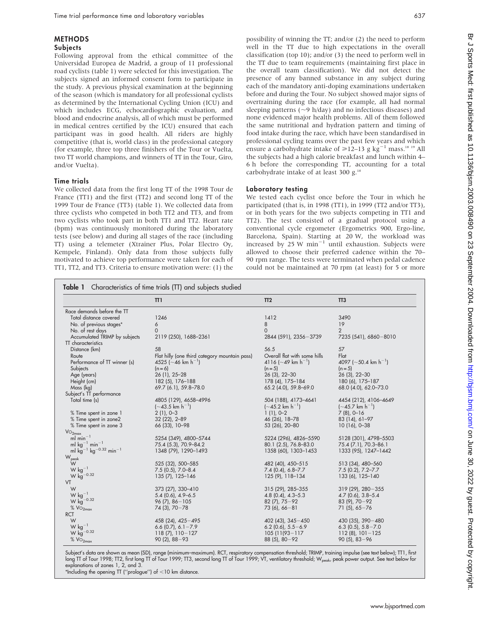#### METHODS Subjects

Following approval from the ethical committee of the Universidad Europea de Madrid, a group of 11 professional road cyclists (table 1) were selected for this investigation. The subjects signed an informed consent form to participate in the study. A previous physical examination at the beginning of the season (which is mandatory for all professional cyclists as determined by the International Cycling Union (ICU) and which includes ECG, echocardiographic evaluation, and blood and endocrine analysis, all of which must be performed in medical centres certified by the ICU) ensured that each participant was in good health. All riders are highly competitive (that is, world class) in the professional category (for example, three top three finishers of the Tour or Vuelta, two TT world champions, and winners of TT in the Tour, Giro, and/or Vuelta).

#### Time trials

We collected data from the first long TT of the 1998 Tour de France (TT1) and the first (TT2) and second long TT of the 1999 Tour de France (TT3) (table 1). We collected data from three cyclists who competed in both TT2 and TT3, and from two cyclists who took part in both TT1 and TT2. Heart rate (bpm) was continuously monitored during the laboratory tests (see below) and during all stages of the race (including TT) using a telemeter (Xtrainer Plus, Polar Electro Oy, Kempele, Finland). Only data from those subjects fully motivated to achieve top performance were taken for each of TT1, TT2, and TT3. Criteria to ensure motivation were: (1) the possibility of winning the TT; and/or (2) the need to perform well in the TT due to high expectations in the overall classification (top 10); and/or (3) the need to perform well in the TT due to team requirements (maintaining first place in the overall team classification). We did not detect the presence of any banned substance in any subject during each of the mandatory anti-doping examinations undertaken before and during the Tour. No subject showed major signs of overtraining during the race (for example, all had normal sleeping patterns ( $\sim$ 9 h/day) and no infectious diseases) and none evidenced major health problems. All of them followed the same nutritional and hydration pattern and timing of food intake during the race, which have been standardised in professional cycling teams over the past few years and which ensure a carbohydrate intake of  $\geq 12-13$  g kg<sup>-1</sup> mass.<sup>18 19</sup> All the subjects had a high calorie breakfast and lunch within 4– 6 h before the corresponding TT, accounting for a total carbohydrate intake of at least 300 g.<sup>18</sup>

#### Laboratory testing

We tested each cyclist once before the Tour in which he participated (that is, in 1998 (TT1), in 1999 (TT2 and/or TT3), or in both years for the two subjects competing in TT1 and TT2). The test consisted of a gradual protocol using a conventional cycle ergometer (Ergometrics 900, Ergo-line, Barcelona, Spain). Starting at 20 W, the workload was increased by  $25 \text{ W min}^{-1}$  until exhaustion. Subjects were allowed to choose their preferred cadence within the 70– 90 rpm range. The tests were terminated when pedal cadence could not be maintained at 70 rpm (at least) for 5 or more

|                                                    | $\Pi$                                         | TT2                            | TT <sub>3</sub>                  |
|----------------------------------------------------|-----------------------------------------------|--------------------------------|----------------------------------|
| Race demands before the TT                         |                                               |                                |                                  |
| Total distance covered                             | 1246                                          | 1412                           | 3490                             |
| No. of previous stages*                            | 6                                             | 8                              | 19                               |
| No. of rest days                                   | $\Omega$                                      | $\Omega$                       | $\overline{2}$                   |
| Accumulated TRIMP by subjects                      | 2119 (250), 1688-2361                         | 2844 (591), 2356-3739          | 7235 (541), 6860-8010            |
| TT characteristics                                 |                                               |                                |                                  |
| Distance (km)                                      | 58                                            | 56.5                           | 57                               |
| Route                                              | Flat hilly (one third category mountain pass) | Overall flat with some hills   | Flat                             |
| Performance of TT winner (s)                       | 4525 (~46 km h <sup>-1</sup> )                | 4116 (~49 km h <sup>-1</sup> ) | 4097 (~50.4 km h <sup>-1</sup> ) |
| Subjects                                           | $(n = 6)$                                     | $(n = 5)$                      | $(n = 5)$                        |
| Age (years)                                        | 26 (1), 25-28                                 | $26(3), 22-30$                 | $26(3), 22-30$                   |
| Height (cm)                                        | 182 (5), 176-188                              | 178 (4), 175-184               | 180 (6), 175-187                 |
| Mass (kg)                                          | 69.7 (6.1), 59.8-78.0                         | $65.2$ (4.0), 59.8-69.0        | 68.0 (4.0), 62.0-73.0            |
| Subject's TT performance                           |                                               |                                |                                  |
| Total time (s)                                     | 4805 (129), 4658-4996                         | 504 (188), 4173-4641           | 4454 (212), 4106-4649            |
|                                                    |                                               |                                |                                  |
|                                                    | $(-43.5 \text{ km h}^{-1})$                   | $(-45.2 \text{ km h}^{-1})$    | $(-45.7 \text{ km h}^{-1})$      |
| % Time spent in zone 1                             | $2(1), 0-3$                                   | $1(1), 0-2$                    | $7(8), 0-16$                     |
| % Time spent in zone2                              | 32 (22), 2-89                                 | 46 (26), 18-78                 | 83 (14), 61-97                   |
| % Time spent in zone 3                             | 66 (33), 10-98                                | 53 (26), 20-80                 | $10(16)$ , 0-38                  |
| VO <sub>2max</sub>                                 |                                               |                                |                                  |
| ml min <sup><math>-1</math></sup>                  | 5254 (349), 4800-5744                         | 5224 (296), 4826-5590          | 5128 (301), 4798-5503            |
| ml $kg^{-1}$ min <sup>-1</sup>                     | 75.4 (5.3), 70.9-84.2                         | 80.1 (2.5), 76.8-83.0          | 75.4 (7.1), 70.3-86.1            |
| ml $kg^{-1}$ kg <sup>-0.32</sup> min <sup>-1</sup> | 1348 (79), 1290-1493                          | 1358 (60), 1303-1453           | 1333 (95), 1247-1442             |
| W <sub>peak</sub>                                  |                                               |                                |                                  |
| W                                                  | 525 (32), 500-585                             | 482 (40), 450-515              | 513 (34), 480-560                |
| W $kg^{-1}$                                        | $7.5$ (0.5), $7.0 - 8.4$                      | $7.4$ (0.4), 6.8-7.7           | $7.5(0.2)$ , $7.2 - 7.7$         |
| $W kg^{-0.32}$                                     | 135 (7), 125-146                              | 125 (9), 118-134               | 133 (6), 125-140                 |
| VT                                                 |                                               |                                |                                  |
| W                                                  | 373 (27), 330-410                             | 315 (29), 285-355              | $319(29)$ , $280-355$            |
| $W kg^{-1}$                                        | $5.4$ (0.6), $4.9 - 6.5$                      | $4.8$ (0.4), $4.3 - 5.3$       | $4.7$ (0.6), 3.8-5.4             |
| $W kg^{-0.32}$                                     | $96(7)$ , $86 - 105$                          | $82(7), 75-92$                 | $83(9)$ , $70-92$                |
| $%$ $Vo$ <sub>2max</sub>                           | $74(3)$ , $70-78$                             | $73(6)$ , 66-81                | $71(5)$ , 65-76                  |
| <b>RCT</b>                                         |                                               |                                |                                  |
| W                                                  | 458 (24), 425 - 495                           | $402(43), 345 - 450$           | $430(35)$ , $390-480$            |
| $W kg^{-1}$                                        | 6.6 $(0.7)$ , 6.1-7.9                         | $6.2$ (0.6), $5.5 - 6.9$       | $6.3$ (0.5), $5.8 - 7.0$         |
| $W kg^{-0.32}$                                     | $118(7)$ , $110-127$                          | $105(11(93 - 117$              | $112(8)$ , $101-125$             |
| %VO <sub>2max</sub>                                | $90(2)$ , $88-93$                             | $88(5)$ , $80-92$              | $90(5)$ , 83-96                  |

Subject's data are shown as mean (SD), range (minimum–maximum). RCT, respiratory compensation threshold; TRIMP, training impulse (see text below); TT1, first long TT of Tour 1998; TT2, first long TT of Tour 1999; TT3, second long TT of Tour 1999; VT, ventilatory threshold; W<sub>peak</sub>, peak power output. See text below for explanations of zones 1, 2, and 3.

\*Including the opening TT ("prologue") of <10 km distance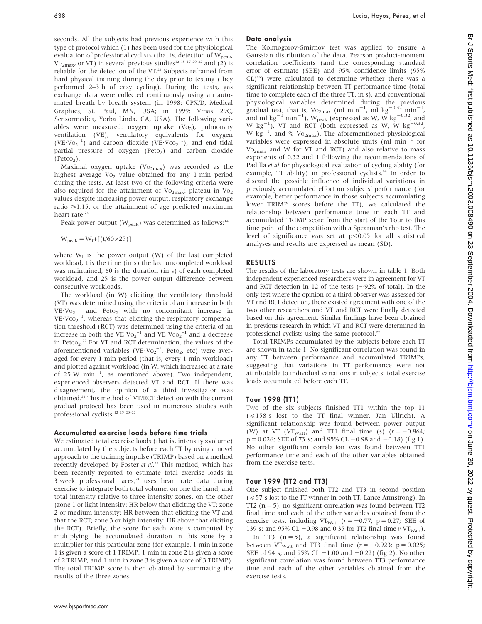seconds. All the subjects had previous experience with this type of protocol which (1) has been used for the physiological evaluation of professional cyclists (that is, detection of  $W_{peak}$ ,  $V_{\text{O}_{2\text{max}}}$ , or VT) in several previous studies<sup>12 15</sup> <sup>17</sup> <sup>20–22</sup> and (2) is reliable for the detection of the VT.<sup>23</sup> Subjects refrained from hard physical training during the day prior to testing (they performed 2–3 h of easy cycling). During the tests, gas exchange data were collected continuously using an automated breath by breath system (in 1998: CPX/D, Medical Graphics, St. Paul, MN, USA; in 1999: Vmax 29C, Sensormedics, Yorba Linda, CA, USA). The following variables were measured: oxygen uptake  $(Vo<sub>2</sub>)$ , pulmonary ventilation (VE), ventilatory equivalents for oxygen  $(VE\cdot Vo_2^{-1})$  and carbon dioxide  $(VE\cdot Vco_2^{-1})$ , and end tidal partial pressure of oxygen (Peto<sub>2</sub>) and carbon dioxide  $(PetCO<sub>2</sub>)$ .

Maximal oxygen uptake  $(Vo_{2max})$  was recorded as the highest average  $Vo_2$  value obtained for any 1 min period during the tests. At least two of the following criteria were also required for the attainment of  $Vo_{2max}$ : plateau in  $Vo_2$ values despite increasing power output, respiratory exchange ratio  $\geq 1.15$ , or the attainment of age predicted maximum heart rate.<sup>24</sup>

Peak power output ( $W_{\text{peak}}$ ) was determined as follows:<sup>14</sup>

$$
W_{\text{peak}} = W_f + [(t/60 \times 25)]
$$

where  $W_f$  is the power output (W) of the last completed workload, t is the time (in s) the last uncompleted workload was maintained, 60 is the duration (in s) of each completed workload, and 25 is the power output difference between consecutive workloads.

The workload (in W) eliciting the ventilatory threshold (VT) was determined using the criteria of an increase in both  $VE\cdot Vo_2^{-1}$  and Peto<sub>2</sub> with no concomitant increase in  $VE \cdot VCO_2^{-1}$ , whereas that eliciting the respiratory compensation threshold (RCT) was determined using the criteria of an increase in both the  $VE\cdot Vo_2^{-1}$  and  $VE\cdot Vco_2^{-1}$  and a decrease in Petco<sub>2</sub>.<sup>22</sup> For VT and RCT determination, the values of the aforementioned variables (VE·Vo<sub>2</sub><sup>-1</sup>, Peto<sub>2</sub>, etc) were averaged for every 1 min period (that is, every 1 min workload) and plotted against workload (in W, which increased at a rate of  $25 \text{ W } \text{min}^{-1}$ , as mentioned above). Two independent, experienced observers detected VT and RCT. If there was disagreement, the opinion of a third investigator was obtained.22 This method of VT/RCT detection with the current gradual protocol has been used in numerous studies with professional cyclists.12 15 20–22

#### Accumulated exercise loads before time trials

We estimated total exercise loads (that is, intensity×volume) accumulated by the subjects before each TT by using a novel approach to the training impulse (TRIMP) based on a method recently developed by Foster et al.<sup>25</sup> This method, which has been recently reported to estimate total exercise loads in  $3$  week professional races, $21$  uses heart rate data during exercise to integrate both total volume, on one the hand, and total intensity relative to three intensity zones, on the other (zone 1 or light intensity: HR below that eliciting the VT; zone 2 or medium intensity: HR between that eliciting the VT and that the RCT; zone 3 or high intensity: HR above that eliciting the RCT). Briefly, the score for each zone is computed by multiplying the accumulated duration in this zone by a multiplier for this particular zone (for example, 1 min in zone 1 is given a score of 1 TRIMP, 1 min in zone 2 is given a score of 2 TRIMP, and 1 min in zone 3 is given a score of 3 TRIMP). The total TRIMP score is then obtained by summating the results of the three zones.

#### Data analysis

The Kolmogorov-Smirnov test was applied to ensure a Gaussian distribution of the data. Pearson product-moment correlation coefficients (and the corresponding standard error of estimate (SEE) and 95% confidence limits (95%  $CL)^{26}$ ) were calculated to determine whether there was a significant relationship between TT performance time (total time to complete each of the three TT, in s), and conventional physiological variables determined during the previous gradual test, that is,  $\text{Vo}_{2\text{max}}$  (ml min<sup>-1</sup>, ml kg<sup>-0.32</sup> min<sup>-1</sup>, and ml  $\text{kg}^{-1}$  min<sup>-1</sup>), W<sub>peak</sub> (expressed as W, W kg<sup>-0.32</sup>, and W kg<sup>-1</sup>), VT and RCT (both expressed as W, W kg<sup>-0.32</sup>, W  $\text{kg}^{-1}$ , and % Vo<sub>2max</sub>). The aforementioned physiological variables were expressed in absolute units (ml  $min^{-1}$  for  $Vo_{2max}$  and W for VT and RCT) and also relative to mass exponents of 0.32 and 1 following the recommendations of Padilla et al for physiological evaluation of cycling ability (for example, TT ability) in professional cyclists.<sup>14</sup> In order to discard the possible influence of individual variations in previously accumulated effort on subjects' performance (for example, better performance in those subjects accumulating lower TRIMP scores before the TT), we calculated the relationship between performance time in each TT and accumulated TRIMP score from the start of the Tour to this time point of the competition with a Spearman's rho test. The level of significance was set at  $p<0.05$  for all statistical analyses and results are expressed as mean (SD).

#### RESULTS

The results of the laboratory tests are shown in table 1. Both independent experienced researchers were in agreement for VT and RCT detection in 12 of the tests ( $\sim$ 92% of total). In the only test where the opinion of a third observer was assessed for VT and RCT detection, there existed agreement with one of the two other researchers and VT and RCT were finally detected based on this agreement. Similar findings have been obtained in previous research in which VT and RCT were determined in professional cyclists using the same protocol.<sup>22</sup>

Total TRIMPs accumulated by the subjects before each TT are shown in table 1. No significant correlation was found in any TT between performance and accumulated TRIMPs, suggesting that variations in TT performance were not attributable to individual variations in subjects' total exercise loads accumulated before each TT.

#### Tour 1998 (TT1)

Two of the six subjects finished TT1 within the top 11  $(\leq 158 \text{ s}$  lost to the TT final winner, Jan Ullrich). A significant relationship was found between power output (W) at VT (VT<sub>Watt</sub>) and TT1 final time (s)  $(r = -0.864;$  $p = 0.026$ ; SEE of 73 s; and 95% CL -0.98 and -0.18) (fig 1). No other significant correlation was found between TT1 performance time and each of the other variables obtained from the exercise tests.

#### Tour 1999 (TT2 and TT3)

One subject finished both TT2 and TT3 in second position  $(<57$  s lost to the TT winner in both TT, Lance Armstrong). In  $TT2$  (n = 5), no significant correlation was found between  $TT2$ final time and each of the other variables obtained from the exercise tests, including VT<sub>Watt</sub> ( $r = -0.77$ ; p = 0.27; SEE of 139 s; and 95% CL  $-0.98$  and 0.35 for TT2 final time  $v$  VT<sub>Watt</sub>).

In TT3  $(n = 5)$ , a significant relationship was found between VT<sub>Watt</sub> and TT3 final time ( $r = -0.923$ ; p = 0.025; SEE of 94 s; and 95% CL  $-1.00$  and  $-0.22$ ) (fig 2). No other significant correlation was found between TT3 performance time and each of the other variables obtained from the exercise tests.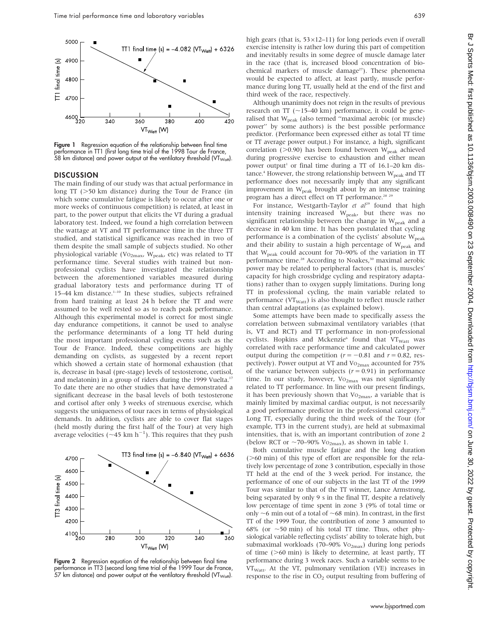

**Figure 1** Regression equation of the relationship between final time performance in TT1 (first long time trial of the 1998 Tour de France, 58 km distance) and power output at the ventilatory threshold (VT $_{\rm{Watt}}$ ).

#### **DISCUSSION**

The main finding of our study was that actual performance in long  $TT$  ( $>50$  km distance) during the Tour de France (in which some cumulative fatigue is likely to occur after one or more weeks of continuous competition) is related, at least in part, to the power output that elicits the VT during a gradual laboratory test. Indeed, we found a high correlation between the wattage at VT and TT performance time in the three TT studied, and statistical significance was reached in two of them despite the small sample of subjects studied. No other physiological variable (Vo<sub>2max</sub>, W<sub>peak</sub>, etc) was related to TT performance time. Several studies with trained but nonprofessional cyclists have investigated the relationship between the aforementioned variables measured during gradual laboratory tests and performance during TT of 15–44 km distance. $1-10$  In these studies, subjects refrained from hard training at least 24 h before the TT and were assumed to be well rested so as to reach peak performance. Although this experimental model is correct for most single day endurance competitions, it cannot be used to analyse the performance determinants of a long TT held during the most important professional cycling events such as the Tour de France. Indeed, these competitions are highly demanding on cyclists, as suggested by a recent report which showed a certain state of hormonal exhaustion (that is, decrease in basal (pre-stage) levels of testosterone, cortisol, and melatonin) in a group of riders during the 1999 Vuelta.<sup>17</sup> To date there are no other studies that have demonstrated a significant decrease in the basal levels of both testosterone and cortisol after only 3 weeks of strenuous exercise, which suggests the uniqueness of tour races in terms of physiological demands. In addition, cyclists are able to cover flat stages (held mostly during the first half of the Tour) at very high average velocities ( $\sim$ 45 km h<sup>-1</sup>). This requires that they push



Figure 2 Regression equation of the relationship between final time performance in TT3 (second long time trial of the 1999 Tour de France, 57 km distance) and power output at the ventilatory threshold (VT $_{\rm{Watt}}$ ).

high gears (that is,  $53 \times 12 - 11$ ) for long periods even if overall exercise intensity is rather low during this part of competition and inevitably results in some degree of muscle damage later in the race (that is, increased blood concentration of biochemical markers of muscle damage<sup>27</sup>). These phenomena would be expected to affect, at least partly, muscle performance during long TT, usually held at the end of the first and third week of the race, respectively.

Although unanimity does not reign in the results of previous research on TT ( $\sim$ 15–40 km) performance, it could be generalised that  $W_{peak}$  (also termed "maximal aerobic (or muscle) power'' by some authors) is the best possible performance predictor. (Performance been expressed either as total TT time or TT average power output.) For instance, a high, significant correlation ( $>0.90$ ) has been found between W<sub>peak</sub> achieved during progressive exercise to exhaustion and either mean power output<sup>1</sup> or final time during a TT of  $16.1-20 \text{ km}$  distance.<sup>4</sup> However, the strong relationship between  $W_{peak}$  and TT performance does not necessarily imply that any significant improvement in W<sub>peak</sub> brought about by an intense training program has a direct effect on TT performance.<sup>28</sup> <sup>29</sup>

For instance, Westgarth-Taylor et  $al^{29}$  found that high intensity training increased  $W_{peak}$ , but there was no significant relationship between the change in  $W_{\text{peak}}$  and a decrease in 40 km time. It has been postulated that cycling performance is a combination of the cyclists' absolute  $W_{peak}$ and their ability to sustain a high percentage of  $W_{peak}$  and that W<sub>peak</sub> could account for 70–90% of the variation in TT performance time.<sup>28</sup> According to Noakes,<sup>30</sup> maximal aerobic power may be related to peripheral factors (that is, muscles' capacity for high crossbridge cycling and respiratory adaptations) rather than to oxygen supply limitations. During long TT in professional cycling, the main variable related to performance ( $VT_{Watt}$ ) is also thought to reflect muscle rather than central adaptations (as explained below).

Some attempts have been made to specifically assess the correlation between submaximal ventilatory variables (that is, VT and RCT) and TT performance in non-professional cyclists. Hopkins and Mckenzie<sup>6</sup> found that VT<sub>Watt</sub> was correlated with race performance time and calculated power output during the competition ( $r = -0.81$  and  $r = 0.82$ , respectively). Power output at VT and Vo<sub>2max</sub> accounted for 75% of the variance between subjects ( $r = 0.91$ ) in performance time. In our study, however,  $Vo_{2max}$  was not significantly related to TT performance. In line with our present findings, it has been previously shown that  $Vo_{2max}$ , a variable that is mainly limited by maximal cardiac output, is not necessarily a good performance predictor in the professional category.<sup>20</sup> Long TT, especially during the third week of the Tour (for example, TT3 in the current study), are held at submaximal intensities, that is, with an important contribution of zone 2 (below RCT or  $\sim$ 70–90% Vo<sub>2max</sub>), as shown in table 1.

Both cumulative muscle fatigue and the long duration  $($  >60 min) of this type of effort are responsible for the relatively low percentage of zone 3 contribution, especially in those TT held at the end of the 3 week period. For instance, the performance of one of our subjects in the last TT of the 1999 Tour was similar to that of the TT winner, Lance Armstrong, being separated by only 9 s in the final TT, despite a relatively low percentage of time spent in zone 3 (9% of total time or only  $\sim$ 6 min out of a total of  $\sim$ 68 min). In contrast, in the first TT of the 1999 Tour, the contribution of zone 3 amounted to 68% (or  $\sim$  50 min) of his total TT time. Thus, other physiological variable reflecting cyclists' ability to tolerate high, but submaximal workloads (70–90% Vo<sub>2max</sub>) during long periods of time  $(>60 \text{ min})$  is likely to determine, at least partly, TT performance during 3 week races. Such a variable seems to be VT<sub>Watt</sub>. At the VT, pulmonary ventilation (VE) increases in response to the rise in  $CO<sub>2</sub>$  output resulting from buffering of